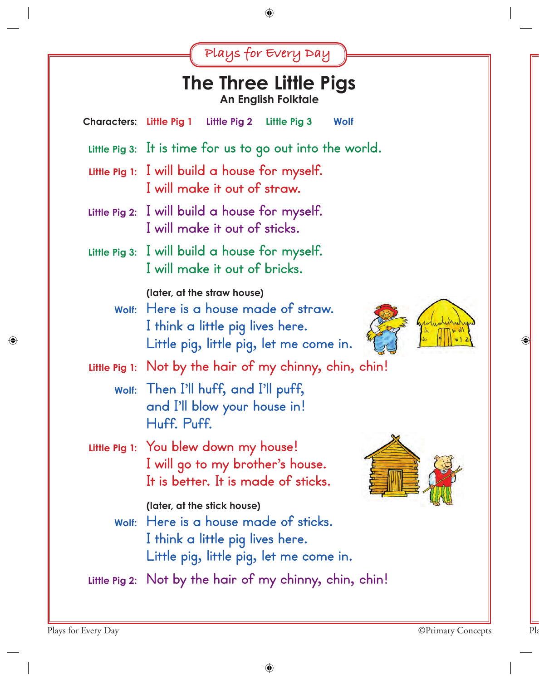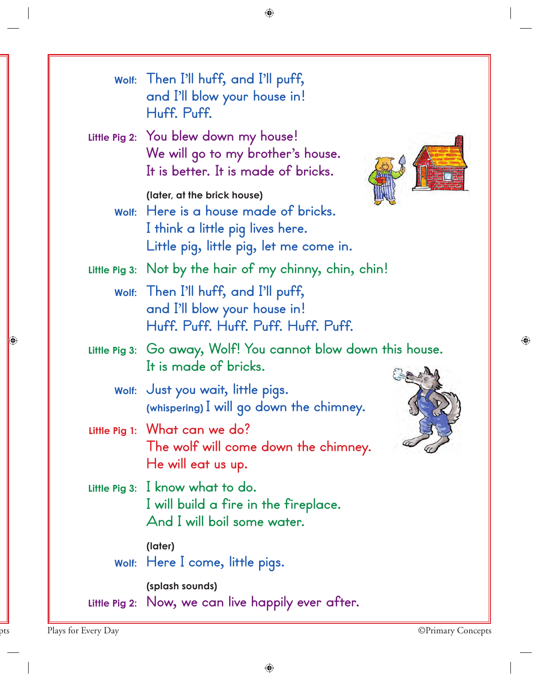| Wolf: Then I'll huff, and I'll puff,<br>and I'll blow your house in!<br>Huff. Puff.                                                                 |
|-----------------------------------------------------------------------------------------------------------------------------------------------------|
| Little Pig 2: You blew down my house!<br>We will go to my brother's house.<br>It is better. It is made of bricks.                                   |
| (later, at the brick house)<br>Wolf: Here is a house made of bricks.<br>I think a little pig lives here.<br>Little pig, little pig, let me come in. |
| Little Pig 3: Not by the hair of my chinny, chin, chin!                                                                                             |
| Wolf: Then I'll huff, and I'll puff,<br>and I'll blow your house in!<br>Huff. Puff. Huff. Puff. Huff. Puff.                                         |
| Little Pig 3: Go away, Wolf! You cannot blow down this house.<br>It is made of bricks.                                                              |
| wolf: Just you wait, little pigs.<br>(whispering) I will go down the chimney.                                                                       |
| Little Pig 1: What can we do?<br>The wolf will come down the chimney.<br>He will eat us up.                                                         |
| Little Pig 3: I know what to do.<br>I will build a fire in the fireplace.<br>And I will boil some water.                                            |
| (later)<br>Wolf: Here I come, little pigs.                                                                                                          |
| (splash sounds)<br>Little Pig 2: Now, we can live happily ever after.                                                                               |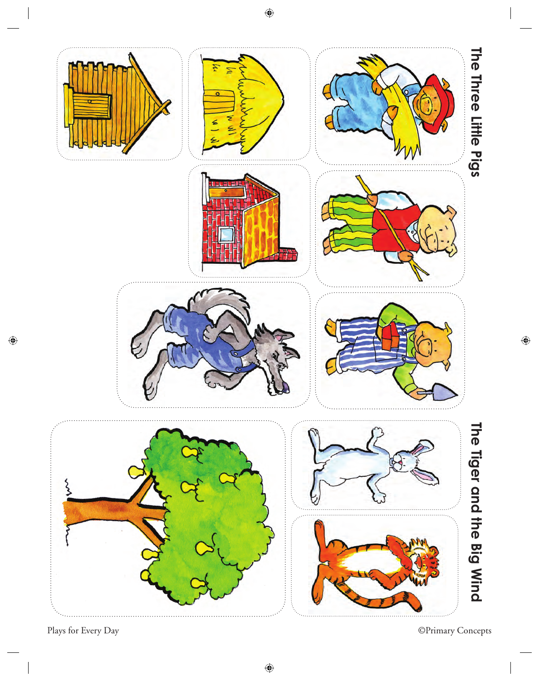